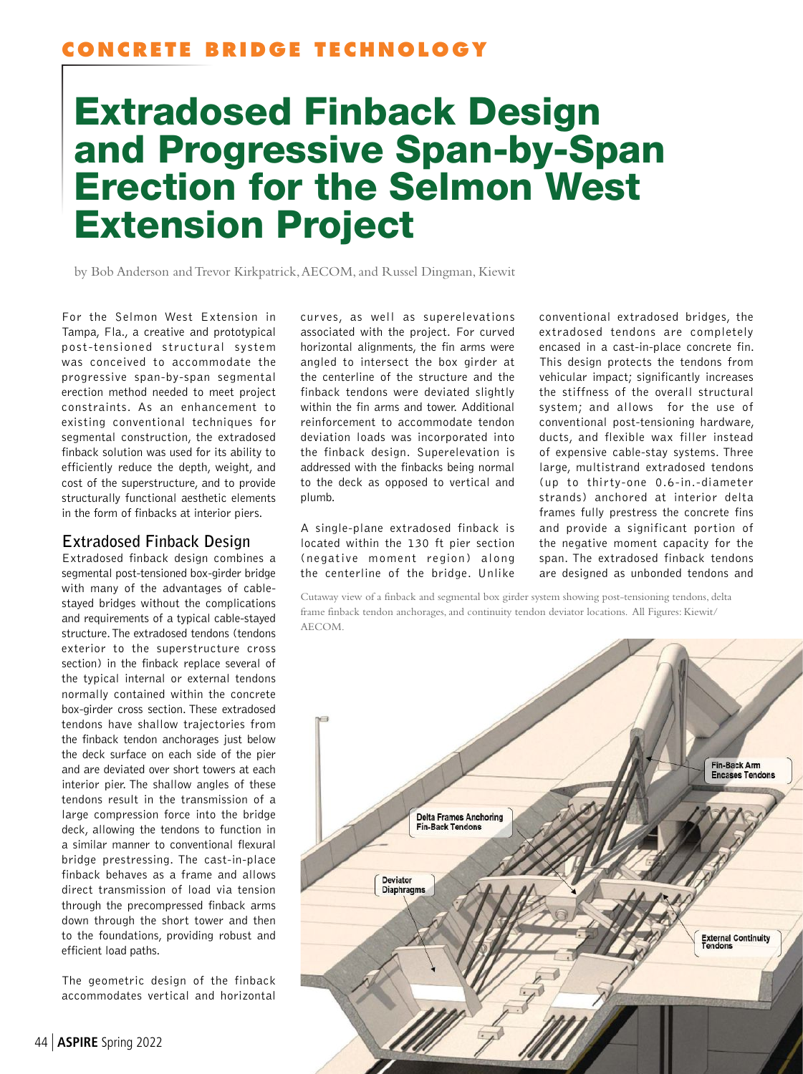## **CONCRETE BRIDGE TECHNOLOGY**

# Extradosed Finback Design and Progressive Span-by-Span Erection for the Selmon West Extension Project

by Bob Anderson and Trevor Kirkpatrick, AECOM, and Russel Dingman, Kiewit

For the Selmon West Extension in Tampa, Fla., a creative and prototypical post-tensioned structural system was conceived to accommodate the progressive span-by-span segmental erection method needed to meet project constraints. As an enhancement to existing conventional techniques for segmental construction, the extradosed finback solution was used for its ability to efficiently reduce the depth, weight, and cost of the superstructure, and to provide structurally functional aesthetic elements in the form of finbacks at interior piers.

### **Extradosed Finback Design**

Extradosed finback design combines a segmental post-tensioned box-girder bridge with many of the advantages of cablestayed bridges without the complications and requirements of a typical cable-stayed structure. The extradosed tendons (tendons exterior to the superstructure cross section) in the finback replace several of the typical internal or external tendons normally contained within the concrete box-girder cross section. These extradosed tendons have shallow trajectories from the finback tendon anchorages just below the deck surface on each side of the pier and are deviated over short towers at each interior pier. The shallow angles of these tendons result in the transmission of a large compression force into the bridge deck, allowing the tendons to function in a similar manner to conventional flexural bridge prestressing. The cast-in-place finback behaves as a frame and allows direct transmission of load via tension through the precompressed finback arms down through the short tower and then to the foundations, providing robust and efficient load paths.

The geometric design of the finback accommodates vertical and horizontal curves, as well as superelevations associated with the project. For curved horizontal alignments, the fin arms were angled to intersect the box girder at the centerline of the structure and the finback tendons were deviated slightly within the fin arms and tower. Additional reinforcement to accommodate tendon deviation loads was incorporated into the finback design. Superelevation is addressed with the finbacks being normal to the deck as opposed to vertical and plumb.

A single-plane extradosed finback is located within the 130 ft pier section (negative moment region) along the centerline of the bridge. Unlike

conventional extradosed bridges, the extradosed tendons are completely encased in a cast-in-place concrete fin. This design protects the tendons from vehicular impact; significantly increases the stiffness of the overall structural system; and allows for the use of conventional post-tensioning hardware, ducts, and flexible wax filler instead of expensive cable-stay systems. Three large, multistrand extradosed tendons (up to thirty-one 0.6-in.-diameter strands) anchored at interior delta frames fully prestress the concrete fins and provide a significant portion of the negative moment capacity for the span. The extradosed finback tendons are designed as unbonded tendons and

Cutaway view of a finback and segmental box girder system showing post-tensioning tendons, delta frame finback tendon anchorages, and continuity tendon deviator locations. All Figures: Kiewit/ AECOM.

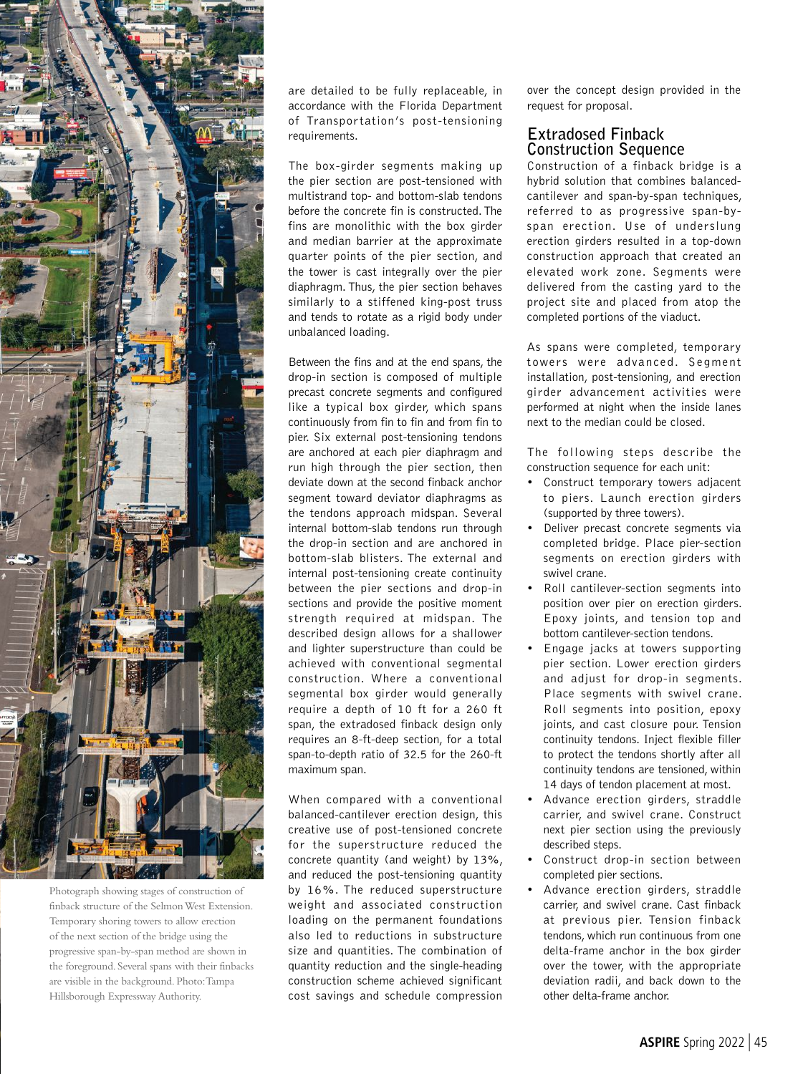

Photograph showing stages of construction of finback structure of the Selmon West Extension. Temporary shoring towers to allow erection of the next section of the bridge using the progressive span-by-span method are shown in the foreground. Several spans with their finbacks are visible in the background. Photo: Tampa Hillsborough Expressway Authority.

are detailed to be fully replaceable, in accordance with the Florida Department of Transportation's post-tensioning requirements.

The box-girder segments making up the pier section are post-tensioned with multistrand top- and bottom-slab tendons before the concrete fin is constructed. The fins are monolithic with the box girder and median barrier at the approximate quarter points of the pier section, and the tower is cast integrally over the pier diaphragm. Thus, the pier section behaves similarly to a stiffened king-post truss and tends to rotate as a rigid body under unbalanced loading.

Between the fins and at the end spans, the drop-in section is composed of multiple precast concrete segments and configured like a typical box girder, which spans continuously from fin to fin and from fin to pier. Six external post-tensioning tendons are anchored at each pier diaphragm and run high through the pier section, then deviate down at the second finback anchor segment toward deviator diaphragms as the tendons approach midspan. Several internal bottom-slab tendons run through the drop-in section and are anchored in bottom-slab blisters. The external and internal post-tensioning create continuity between the pier sections and drop-in sections and provide the positive moment strength required at midspan. The described design allows for a shallower and lighter superstructure than could be achieved with conventional segmental construction. Where a conventional segmental box girder would generally require a depth of 10 ft for a 260 ft span, the extradosed finback design only requires an 8-ft-deep section, for a total span-to-depth ratio of 32.5 for the 260-ft maximum span.

When compared with a conventional balanced-cantilever erection design, this creative use of post-tensioned concrete for the superstructure reduced the concrete quantity (and weight) by 13%, and reduced the post-tensioning quantity by 16%. The reduced superstructure weight and associated construction loading on the permanent foundations also led to reductions in substructure size and quantities. The combination of quantity reduction and the single-heading construction scheme achieved significant cost savings and schedule compression

over the concept design provided in the request for proposal.

#### **Extradosed Finback Construction Sequence**

Construction of a finback bridge is a hybrid solution that combines balancedcantilever and span-by-span techniques, referred to as progressive span-byspan erection. Use of underslung erection girders resulted in a top-down construction approach that created an elevated work zone. Segments were delivered from the casting yard to the project site and placed from atop the completed portions of the viaduct.

As spans were completed, temporary towers were advanced. Segment installation, post-tensioning, and erection girder advancement activities were performed at night when the inside lanes next to the median could be closed.

The following steps describe the construction sequence for each unit:

- Construct temporary towers adjacent to piers. Launch erection girders (supported by three towers).
- Deliver precast concrete segments via completed bridge. Place pier-section segments on erection girders with swivel crane.
- Roll cantilever-section segments into position over pier on erection girders. Epoxy joints, and tension top and bottom cantilever-section tendons.
- Engage jacks at towers supporting pier section. Lower erection girders and adjust for drop-in segments. Place segments with swivel crane. Roll segments into position, epoxy joints, and cast closure pour. Tension continuity tendons. Inject flexible filler to protect the tendons shortly after all continuity tendons are tensioned, within 14 days of tendon placement at most.
- Advance erection girders, straddle carrier, and swivel crane. Construct next pier section using the previously described steps.
- Construct drop-in section between completed pier sections.
- Advance erection girders, straddle carrier, and swivel crane. Cast finback at previous pier. Tension finback tendons, which run continuous from one delta-frame anchor in the box girder over the tower, with the appropriate deviation radii, and back down to the other delta-frame anchor.